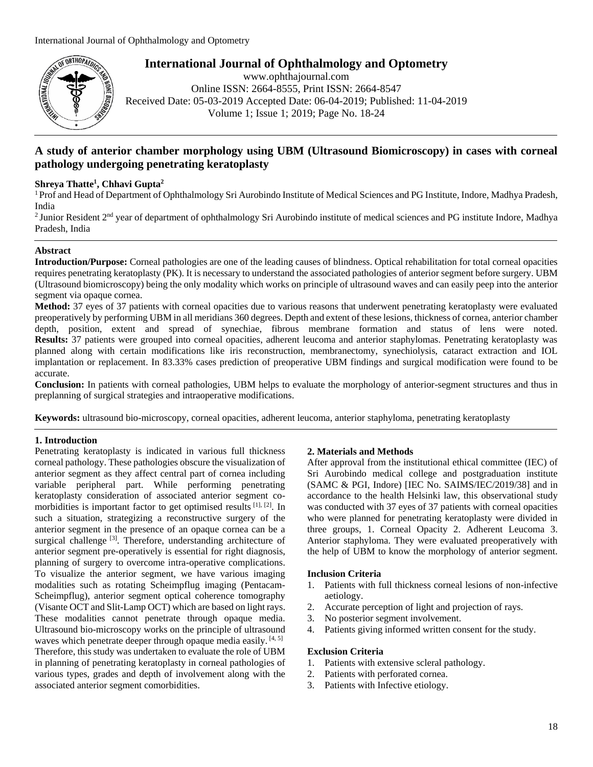

**International Journal of Ophthalmology and Optometry**

www.ophthajournal.com Online ISSN: 2664-8555, Print ISSN: 2664-8547 Received Date: 05-03-2019 Accepted Date: 06-04-2019; Published: 11-04-2019 Volume 1; Issue 1; 2019; Page No. 18-24

# **A study of anterior chamber morphology using UBM (Ultrasound Biomicroscopy) in cases with corneal pathology undergoing penetrating keratoplasty**

## **Shreya Thatte<sup>1</sup> , Chhavi Gupta<sup>2</sup>**

<sup>1</sup> Prof and Head of Department of Ophthalmology Sri Aurobindo Institute of Medical Sciences and PG Institute, Indore, Madhya Pradesh, India

<sup>2</sup> Junior Resident  $2<sup>nd</sup>$  year of department of ophthalmology Sri Aurobindo institute of medical sciences and PG institute Indore, Madhya Pradesh, India

## **Abstract**

**Introduction/Purpose:** Corneal pathologies are one of the leading causes of blindness. Optical rehabilitation for total corneal opacities requires penetrating keratoplasty (PK). It is necessary to understand the associated pathologies of anterior segment before surgery. UBM (Ultrasound biomicroscopy) being the only modality which works on principle of ultrasound waves and can easily peep into the anterior segment via opaque cornea.

**Method:** 37 eyes of 37 patients with corneal opacities due to various reasons that underwent penetrating keratoplasty were evaluated preoperatively by performing UBM in all meridians 360 degrees. Depth and extent of these lesions, thickness of cornea, anterior chamber depth, position, extent and spread of synechiae, fibrous membrane formation and status of lens were noted. **Results:** 37 patients were grouped into corneal opacities, adherent leucoma and anterior staphylomas. Penetrating keratoplasty was planned along with certain modifications like iris reconstruction, membranectomy, synechiolysis, cataract extraction and IOL implantation or replacement. In 83.33% cases prediction of preoperative UBM findings and surgical modification were found to be accurate.

**Conclusion:** In patients with corneal pathologies, UBM helps to evaluate the morphology of anterior-segment structures and thus in preplanning of surgical strategies and intraoperative modifications.

**Keywords:** ultrasound bio-microscopy, corneal opacities, adherent leucoma, anterior staphyloma, penetrating keratoplasty

## **1. Introduction**

Penetrating keratoplasty is indicated in various full thickness corneal pathology. These pathologies obscure the visualization of anterior segment as they affect central part of cornea including variable peripheral part. While performing penetrating keratoplasty consideration of associated anterior segment comorbidities is important factor to get optimised results [1], [2]. In such a situation, strategizing a reconstructive surgery of the anterior segment in the presence of an opaque cornea can be a surgical challenge <sup>[3]</sup>. Therefore, understanding architecture of anterior segment pre-operatively is essential for right diagnosis, planning of surgery to overcome intra-operative complications. To visualize the anterior segment, we have various imaging modalities such as rotating Scheimpflug imaging (Pentacam-Scheimpflug), anterior segment optical coherence tomography (Visante OCT and Slit-Lamp OCT) which are based on light rays. These modalities cannot penetrate through opaque media. Ultrasound bio-microscopy works on the principle of ultrasound waves which penetrate deeper through opaque media easily.  $[4, 5]$ Therefore, this study was undertaken to evaluate the role of UBM in planning of penetrating keratoplasty in corneal pathologies of various types, grades and depth of involvement along with the associated anterior segment comorbidities.

## **2. Materials and Methods**

After approval from the institutional ethical committee (IEC) of Sri Aurobindo medical college and postgraduation institute (SAMC & PGI, Indore) [IEC No. SAIMS/IEC/2019/38] and in accordance to the health Helsinki law, this observational study was conducted with 37 eyes of 37 patients with corneal opacities who were planned for penetrating keratoplasty were divided in three groups, 1. Corneal Opacity 2. Adherent Leucoma 3. Anterior staphyloma. They were evaluated preoperatively with the help of UBM to know the morphology of anterior segment.

## **Inclusion Criteria**

- 1. Patients with full thickness corneal lesions of non-infective aetiology.
- 2. Accurate perception of light and projection of rays.
- 3. No posterior segment involvement.
- 4. Patients giving informed written consent for the study.

## **Exclusion Criteria**

- 1. Patients with extensive scleral pathology.
- 2. Patients with perforated cornea.
- 3. Patients with Infective etiology.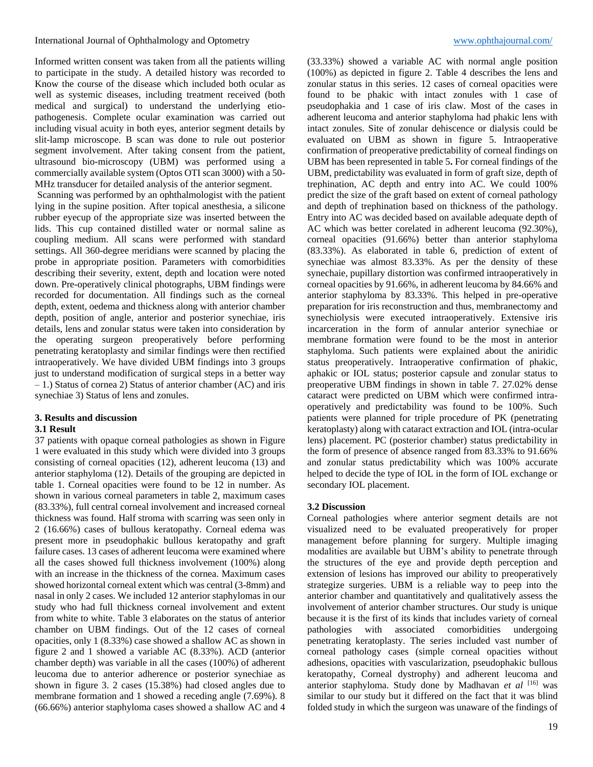Informed written consent was taken from all the patients willing to participate in the study. A detailed history was recorded to Know the course of the disease which included both ocular as well as systemic diseases, including treatment received (both medical and surgical) to understand the underlying etiopathogenesis. Complete ocular examination was carried out including visual acuity in both eyes, anterior segment details by slit-lamp microscope. B scan was done to rule out posterior segment involvement. After taking consent from the patient, ultrasound bio-microscopy (UBM) was performed using a commercially available system (Optos OTI scan 3000) with a 50- MHz transducer for detailed analysis of the anterior segment.

Scanning was performed by an ophthalmologist with the patient lying in the supine position. After topical anesthesia, a silicone rubber eyecup of the appropriate size was inserted between the lids. This cup contained distilled water or normal saline as coupling medium. All scans were performed with standard settings. All 360-degree meridians were scanned by placing the probe in appropriate position. Parameters with comorbidities describing their severity, extent, depth and location were noted down. Pre-operatively clinical photographs, UBM findings were recorded for documentation. All findings such as the corneal depth, extent, oedema and thickness along with anterior chamber depth, position of angle, anterior and posterior synechiae, iris details, lens and zonular status were taken into consideration by the operating surgeon preoperatively before performing penetrating keratoplasty and similar findings were then rectified intraoperatively. We have divided UBM findings into 3 groups just to understand modification of surgical steps in a better way – 1.) Status of cornea 2) Status of anterior chamber (AC) and iris synechiae 3) Status of lens and zonules.

# **3. Results and discussion**

## **3.1 Result**

37 patients with opaque corneal pathologies as shown in Figure 1 were evaluated in this study which were divided into 3 groups consisting of corneal opacities (12), adherent leucoma (13) and anterior staphyloma (12). Details of the grouping are depicted in table 1. Corneal opacities were found to be 12 in number. As shown in various corneal parameters in table 2, maximum cases (83.33%), full central corneal involvement and increased corneal thickness was found. Half stroma with scarring was seen only in 2 (16.66%) cases of bullous keratopathy. Corneal edema was present more in pseudophakic bullous keratopathy and graft failure cases. 13 cases of adherent leucoma were examined where all the cases showed full thickness involvement (100%) along with an increase in the thickness of the cornea. Maximum cases showed horizontal corneal extent which was central (3-8mm) and nasal in only 2 cases. We included 12 anterior staphylomas in our study who had full thickness corneal involvement and extent from white to white. Table 3 elaborates on the status of anterior chamber on UBM findings. Out of the 12 cases of corneal opacities, only 1 (8.33%) case showed a shallow AC as shown in figure 2 and 1 showed a variable AC (8.33%). ACD (anterior chamber depth) was variable in all the cases (100%) of adherent leucoma due to anterior adherence or posterior synechiae as shown in figure 3. 2 cases (15.38%) had closed angles due to membrane formation and 1 showed a receding angle (7.69%). 8 (66.66%) anterior staphyloma cases showed a shallow AC and 4

(33.33%) showed a variable AC with normal angle position (100%) as depicted in figure 2. Table 4 describes the lens and zonular status in this series. 12 cases of corneal opacities were found to be phakic with intact zonules with 1 case of pseudophakia and 1 case of iris claw. Most of the cases in adherent leucoma and anterior staphyloma had phakic lens with intact zonules. Site of zonular dehiscence or dialysis could be evaluated on UBM as shown in figure 5. Intraoperative confirmation of preoperative predictability of corneal findings on UBM has been represented in table 5**.** For corneal findings of the UBM, predictability was evaluated in form of graft size, depth of trephination, AC depth and entry into AC. We could 100% predict the size of the graft based on extent of corneal pathology and depth of trephination based on thickness of the pathology. Entry into AC was decided based on available adequate depth of AC which was better corelated in adherent leucoma (92.30%), corneal opacities (91.66%) better than anterior staphyloma (83.33%). As elaborated in table 6, prediction of extent of synechiae was almost 83.33%. As per the density of these synechaie, pupillary distortion was confirmed intraoperatively in corneal opacities by 91.66%, in adherent leucoma by 84.66% and anterior staphyloma by 83.33%. This helped in pre-operative preparation for iris reconstruction and thus, membranectomy and synechiolysis were executed intraoperatively. Extensive iris incarceration in the form of annular anterior synechiae or membrane formation were found to be the most in anterior staphyloma. Such patients were explained about the aniridic status preoperatively. Intraoperative confirmation of phakic, aphakic or IOL status; posterior capsule and zonular status to preoperative UBM findings in shown in table 7. 27.02% dense cataract were predicted on UBM which were confirmed intraoperatively and predictability was found to be 100%. Such patients were planned for triple procedure of PK (penetrating keratoplasty) along with cataract extraction and IOL (intra-ocular lens) placement. PC (posterior chamber) status predictability in the form of presence of absence ranged from 83.33% to 91.66% and zonular status predictability which was 100% accurate helped to decide the type of IOL in the form of IOL exchange or secondary IOL placement.

## **3.2 Discussion**

Corneal pathologies where anterior segment details are not visualized need to be evaluated preoperatively for proper management before planning for surgery. Multiple imaging modalities are available but UBM's ability to penetrate through the structures of the eye and provide depth perception and extension of lesions has improved our ability to preoperatively strategize surgeries. UBM is a reliable way to peep into the anterior chamber and quantitatively and qualitatively assess the involvement of anterior chamber structures. Our study is unique because it is the first of its kinds that includes variety of corneal pathologies with associated comorbidities undergoing penetrating keratoplasty. The series included vast number of corneal pathology cases (simple corneal opacities without adhesions, opacities with vascularization, pseudophakic bullous keratopathy, Corneal dystrophy) and adherent leucoma and anterior staphyloma. Study done by Madhavan *et al* [16] was similar to our study but it differed on the fact that it was blind folded study in which the surgeon was unaware of the findings of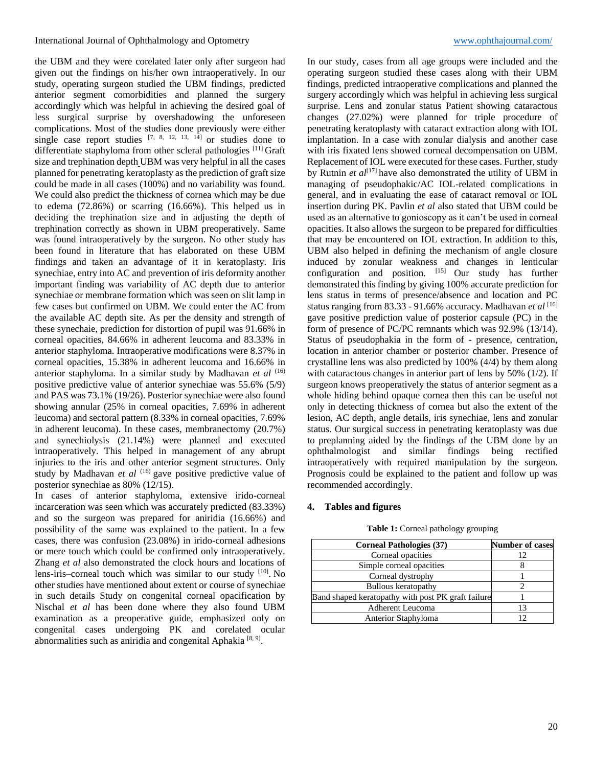the UBM and they were corelated later only after surgeon had given out the findings on his/her own intraoperatively. In our study, operating surgeon studied the UBM findings, predicted anterior segment comorbidities and planned the surgery accordingly which was helpful in achieving the desired goal of less surgical surprise by overshadowing the unforeseen complications. Most of the studies done previously were either single case report studies  $[7, 8, 12, 13, 14]$  or studies done to differentiate staphyloma from other scleral pathologies [11] Graft size and trephination depth UBM was very helpful in all the cases planned for penetrating keratoplasty as the prediction of graft size could be made in all cases (100%) and no variability was found. We could also predict the thickness of cornea which may be due to edema (72.86%) or scarring (16.66%). This helped us in deciding the trephination size and in adjusting the depth of trephination correctly as shown in UBM preoperatively. Same was found intraoperatively by the surgeon. No other study has been found in literature that has elaborated on these UBM findings and taken an advantage of it in keratoplasty. Iris synechiae, entry into AC and prevention of iris deformity another important finding was variability of AC depth due to anterior synechiae or membrane formation which was seen on slit lamp in few cases but confirmed on UBM. We could enter the AC from the available AC depth site. As per the density and strength of these synechaie, prediction for distortion of pupil was 91.66% in corneal opacities, 84.66% in adherent leucoma and 83.33% in anterior staphyloma. Intraoperative modifications were 8.37% in corneal opacities, 15.38% in adherent leucoma and 16.66% in anterior staphyloma. In a similar study by Madhavan *et al* (16) positive predictive value of anterior synechiae was 55.6% (5/9) and PAS was 73.1% (19/26). Posterior synechiae were also found showing annular (25% in corneal opacities, 7.69% in adherent leucoma) and sectoral pattern (8.33% in corneal opacities, 7.69% in adherent leucoma). In these cases, membranectomy (20.7%) and synechiolysis (21.14%) were planned and executed intraoperatively. This helped in management of any abrupt injuries to the iris and other anterior segment structures. Only study by Madhavan *et al* <sup>(16)</sup> gave positive predictive value of posterior synechiae as 80% (12/15).

In cases of anterior staphyloma, extensive irido-corneal incarceration was seen which was accurately predicted (83.33%) and so the surgeon was prepared for aniridia (16.66%) and possibility of the same was explained to the patient. In a few cases, there was confusion (23.08%) in irido-corneal adhesions or mere touch which could be confirmed only intraoperatively. Zhang *et al* also demonstrated the clock hours and locations of lens-iris–corneal touch which was similar to our study [10]. No other studies have mentioned about extent or course of synechiae in such details Study on congenital corneal opacification by Nischal *et al* has been done where they also found UBM examination as a preoperative guide, emphasized only on congenital cases undergoing PK and corelated ocular abnormalities such as aniridia and congenital Aphakia<sup>[8,9]</sup>.

In our study, cases from all age groups were included and the operating surgeon studied these cases along with their UBM findings, predicted intraoperative complications and planned the surgery accordingly which was helpful in achieving less surgical surprise. Lens and zonular status Patient showing cataractous changes (27.02%) were planned for triple procedure of penetrating keratoplasty with cataract extraction along with IOL implantation. In a case with zonular dialysis and another case with iris fixated lens showed corneal decompensation on UBM. Replacement of IOL were executed for these cases. Further, study by Rutnin *et al*<sup>[17]</sup> have also demonstrated the utility of UBM in managing of pseudophakic/AC IOL-related complications in general, and in evaluating the ease of cataract removal or IOL insertion during PK. Pavlin *et al* also stated that UBM could be used as an alternative to gonioscopy as it can't be used in corneal opacities. It also allows the surgeon to be prepared for difficulties that may be encountered on IOL extraction. In addition to this, UBM also helped in defining the mechanism of angle closure induced by zonular weakness and changes in lenticular configuration and position.  $[15]$  Our study has further demonstrated this finding by giving 100% accurate prediction for lens status in terms of presence/absence and location and PC status ranging from 83.33 - 91.66% accuracy. Madhavan *et al* [16] gave positive prediction value of posterior capsule (PC) in the form of presence of PC/PC remnants which was 92.9% (13/14). Status of pseudophakia in the form of - presence, centration, location in anterior chamber or posterior chamber. Presence of crystalline lens was also predicted by 100% (4/4) by them along with cataractous changes in anterior part of lens by 50% (1/2). If surgeon knows preoperatively the status of anterior segment as a whole hiding behind opaque cornea then this can be useful not only in detecting thickness of cornea but also the extent of the lesion, AC depth, angle details, iris synechiae, lens and zonular status. Our surgical success in penetrating keratoplasty was due to preplanning aided by the findings of the UBM done by an ophthalmologist and similar findings being rectified intraoperatively with required manipulation by the surgeon. Prognosis could be explained to the patient and follow up was recommended accordingly.

## **4. Tables and figures**

| Table 1: Corneal pathology grouping |  |  |
|-------------------------------------|--|--|
|-------------------------------------|--|--|

| <b>Corneal Pathologies (37)</b>                    | <b>Number of cases</b> |
|----------------------------------------------------|------------------------|
| Corneal opacities                                  |                        |
| Simple corneal opacities                           |                        |
| Corneal dystrophy                                  |                        |
| <b>Bullous keratopathy</b>                         |                        |
| Band shaped keratopathy with post PK graft failure |                        |
| Adherent Leucoma                                   | 13                     |
| Anterior Staphyloma                                |                        |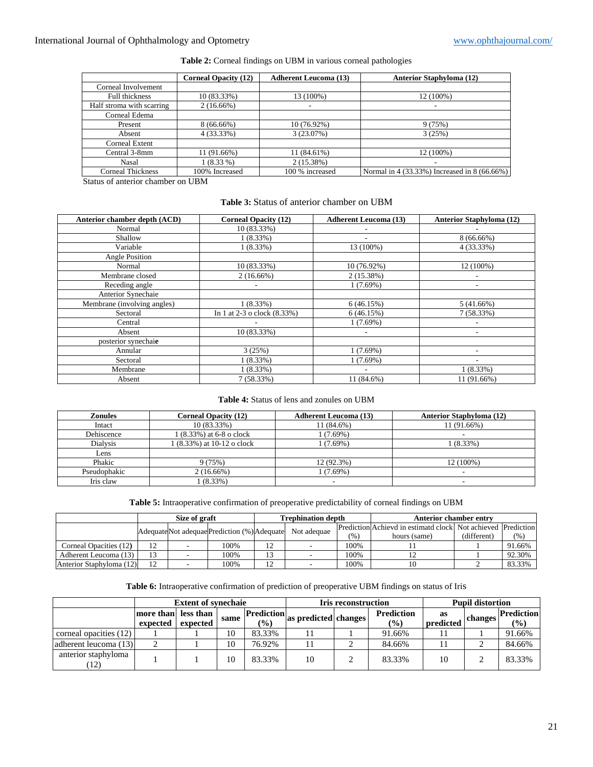# International Journal of Ophthalmology and Optometry [www.ophthajournal.com/](http://www.ophthajournal.com/)

|                           | <b>Corneal Opacity (12)</b> | <b>Adherent Leucoma (13)</b> | <b>Anterior Staphyloma (12)</b>              |
|---------------------------|-----------------------------|------------------------------|----------------------------------------------|
| Corneal Involvement       |                             |                              |                                              |
| <b>Full thickness</b>     | 10 (83.33%)                 | 13 (100%)                    | 12 (100%)                                    |
| Half stroma with scarring | $2(16.66\%)$                | $\overline{\phantom{a}}$     | ۰                                            |
| Corneal Edema             |                             |                              |                                              |
| Present                   | $8(66.66\%)$                | 10 (76.92%)                  | 9(75%)                                       |
| Absent                    | $4(33.33\%)$                | 3(23.07%)                    | 3(25%)                                       |
| <b>Corneal Extent</b>     |                             |                              |                                              |
| Central 3-8mm             | 11 (91.66%)                 | 11 (84.61%)                  | 12 (100%)                                    |
| Nasal                     | $1(8.33\%)$                 | 2(15.38%)                    | ۰                                            |
| <b>Corneal Thickness</b>  | 100% Increased              | 100 % increased              | Normal in 4 (33.33%) Increased in 8 (66.66%) |

## **Table 2:** Corneal findings on UBM in various corneal pathologies

Status of anterior chamber on UBM

# **Table 3:** Status of anterior chamber on UBM

| Anterior chamber depth (ACD) | <b>Corneal Opacity (12)</b>   | <b>Adherent Leucoma (13)</b> | <b>Anterior Staphyloma (12)</b> |
|------------------------------|-------------------------------|------------------------------|---------------------------------|
| Normal                       | 10 (83.33%)                   |                              |                                 |
| Shallow                      | $1(8.33\%)$                   |                              | $8(66.66\%)$                    |
| Variable                     | $1(8.33\%)$                   | 13 (100%)                    | 4 (33.33%)                      |
| Angle Position               |                               |                              |                                 |
| Normal                       | 10 (83.33%)                   | 10 (76.92%)                  | 12 (100%)                       |
| Membrane closed              | $2(16.66\%)$                  | $2(15.38\%)$                 | ٠                               |
| Receding angle               | ۰                             | 1(7.69%)                     | $\overline{\phantom{a}}$        |
| Anterior Synechaie           |                               |                              |                                 |
| Membrane (involving angles)  | $1(8.33\%)$                   | 6(46.15%)                    | $5(41.66\%)$                    |
| Sectoral                     | In 1 at 2-3 o clock $(8.33%)$ | 6(46.15%)                    | 7(58.33%)                       |
| Central                      |                               | 1(7.69%)                     | -                               |
| Absent                       | 10 (83.33%)                   | ٠.                           | ٠                               |
| posterior synechaie          |                               |                              |                                 |
| Annular                      | 3(25%)                        | 1(7.69%)                     |                                 |
| Sectoral                     | $1(8.33\%)$                   | 1(7.69%)                     | ٠                               |
| Membrane                     | $1(8.33\%)$                   |                              | 1(8.33%)                        |
| Absent                       | 7(58.33%)                     | 11 (84.6%)                   | 11 (91.66%)                     |

# **Table 4:** Status of lens and zonules on UBM

| <b>Zonules</b>  | <b>Corneal Opacity (12)</b> | <b>Adherent Leucoma (13)</b> | <b>Anterior Staphyloma (12)</b> |
|-----------------|-----------------------------|------------------------------|---------------------------------|
| Intact          | 10 (83.33%)                 | 11 (84.6%)                   | 11 (91.66%)                     |
| Dehiscence      | 1 (8.33%) at 6-8 o clock    | $1(7.69\%)$                  |                                 |
| <b>Dialysis</b> | 1 (8.33%) at 10-12 o clock  | $(7.69\%)$                   | $(8.33\%)$                      |
| Lens            |                             |                              |                                 |
| Phakic          | 9 (75%)                     | 12 (92.3%)                   | 12 (100%)                       |
| Pseudophakic    | $2(16.66\%)$                | $(7.69\%)$                   | -                               |
| Iris claw       | $(8.33\%)$                  |                              | ۰                               |

#### **Table 5:** Intraoperative confirmation of preoperative predictability of corneal findings on UBM

|                          |                                              | Size of graft |      | <b>Trephination depth</b> |  |                                                              | Anterior chamber entry |             |        |  |
|--------------------------|----------------------------------------------|---------------|------|---------------------------|--|--------------------------------------------------------------|------------------------|-------------|--------|--|
|                          | Adequate Not adequae Prediction (%) Adequate |               |      | Not adequae               |  | Prediction Achievd in estimatd clock Not achieved Prediction |                        |             |        |  |
|                          |                                              |               |      |                           |  | (96)                                                         | hours (same)           | (different) | (% )   |  |
| Corneal Opacities (12)   |                                              |               | 100% |                           |  | 100%                                                         |                        |             | 91.66% |  |
| Adherent Leucoma (13)    |                                              |               | 100% |                           |  | 100%                                                         |                        |             | 92.30% |  |
| Anterior Staphyloma (12) |                                              |               | 100% |                           |  | 100%                                                         |                        |             | 83.33% |  |

## **Table 6:** Intraoperative confirmation of prediction of preoperative UBM findings on status of Iris

|                             |                                 | <b>Extent of synechaie</b> |      |                                                     |    | <b>Iris reconstruction</b>         |                 | <b>Pupil distortion</b> |                                    |        |  |
|-----------------------------|---------------------------------|----------------------------|------|-----------------------------------------------------|----|------------------------------------|-----------------|-------------------------|------------------------------------|--------|--|
|                             | more than less than<br>expected | expected                   | same | <b>Prediction</b><br>as predicted changes<br>$($ %) |    | <b>Prediction</b><br>$\frac{9}{6}$ | as<br>predicted | changes                 | <b>Prediction</b><br>$\frac{1}{2}$ |        |  |
| corneal opacities (12)      |                                 |                            | 10   | 83.33%                                              |    |                                    | 91.66%          |                         |                                    | 91.66% |  |
| adherent leucoma (13)       |                                 |                            | 10   | 76.92%                                              |    |                                    | 84.66%          |                         |                                    | 84.66% |  |
| anterior staphyloma<br>(12) |                                 |                            | 10   | 83.33%                                              | 10 | ◠                                  | 83.33%          | 10                      | ◠                                  | 83.33% |  |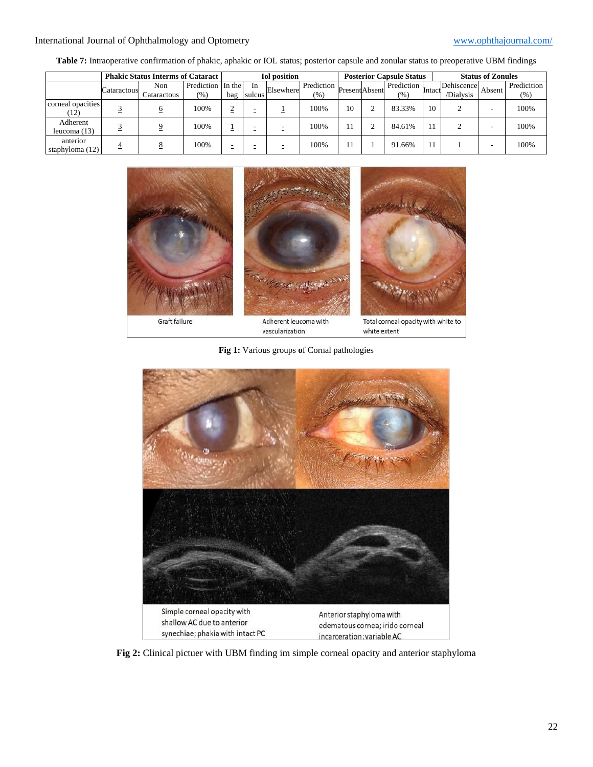# International Journal of Ophthalmology and Optometry [www.ophthajournal.com/](http://www.ophthajournal.com/)

|                             | <b>Phakic Status Interms of Cataract</b> |             |                   | <b>Iol</b> position |        |           | <b>Posterior Capsule Status</b> |               |  |            | <b>Status of Zonules</b> |            |        |             |
|-----------------------------|------------------------------------------|-------------|-------------------|---------------------|--------|-----------|---------------------------------|---------------|--|------------|--------------------------|------------|--------|-------------|
|                             | Cataractous                              | Non         | Prediction In the |                     | In     | Elsewhere | Prediction                      | PresentAbsent |  | Prediction | Intacti                  | Dehiscence | Absent | Predicition |
|                             |                                          | Cataractous | $(\% )$           | bag                 | sulcus |           | (% )                            |               |  | (%)        |                          | /Dialysis  |        | $(\%)$      |
| corneal opacities<br>(12)   |                                          |             | 100%              | =                   |        |           | 100%                            | 10            |  | 83.33%     | 10                       |            | -      | 100%        |
| Adherent<br>leucoma (13)    |                                          |             | 100%              | _                   |        |           | 100%                            |               |  | 84.61%     |                          |            | -      | 100%        |
| anterior<br>staphyloma (12) |                                          |             | 100%              |                     |        |           | 100%                            |               |  | 91.66%     |                          |            | -      | 100%        |

**Table 7:** Intraoperative confirmation of phakic, aphakic or IOL status; posterior capsule and zonular status to preoperative UBM findings



**Fig 1:** Various groups **o**f Cornal pathologies



**Fig 2:** Clinical pictuer with UBM finding im simple corneal opacity and anterior staphyloma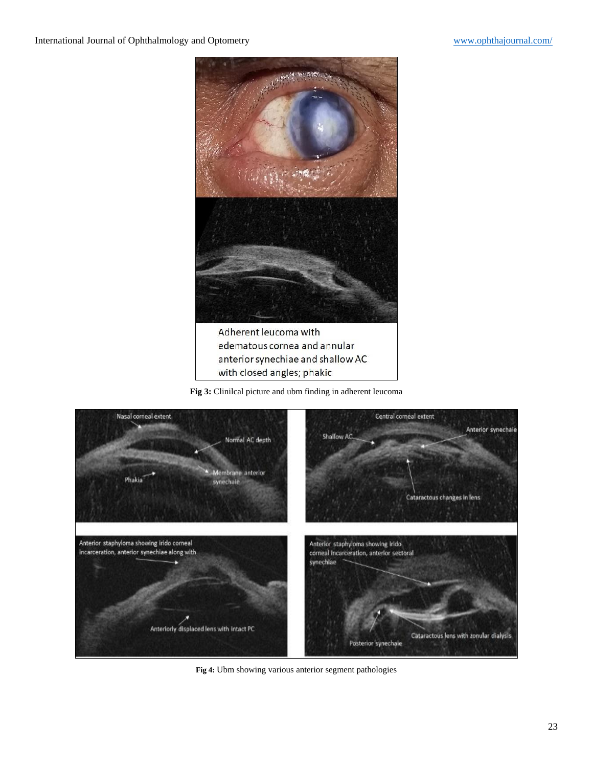

edematous cornea and annular anterior synechiae and shallow AC with closed angles; phakic

**Fig 3:** Clinilcal picture and ubm finding in adherent leucoma



**Fig 4:** Ubm showing various anterior segment pathologies